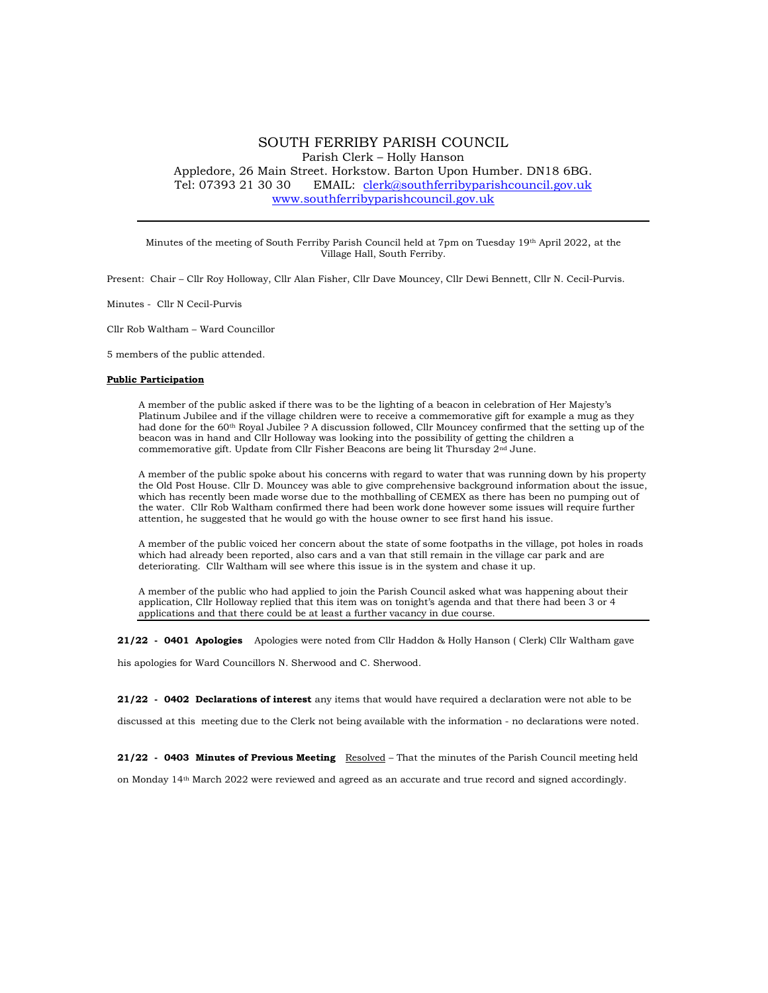# SOUTH FERRIBY PARISH COUNCIL Parish Clerk – Holly Hanson Appledore, 26 Main Street. Horkstow. Barton Upon Humber. DN18 6BG. Tel: 07393 21 30 30 EMAIL: clerk@southferribyparishcouncil.gov.uk www.southferribyparishcouncil.gov.uk

Minutes of the meeting of South Ferriby Parish Council held at 7pm on Tuesday 19<sup>th</sup> April 2022, at the Village Hall, South Ferriby.

Present: Chair – Cllr Roy Holloway, Cllr Alan Fisher, Cllr Dave Mouncey, Cllr Dewi Bennett, Cllr N. Cecil-Purvis.

Minutes - Cllr N Cecil-Purvis

Cllr Rob Waltham – Ward Councillor

5 members of the public attended.

### Public Participation

A member of the public asked if there was to be the lighting of a beacon in celebration of Her Majesty's Platinum Jubilee and if the village children were to receive a commemorative gift for example a mug as they had done for the 60<sup>th</sup> Royal Jubilee ? A discussion followed, Cllr Mouncey confirmed that the setting up of the beacon was in hand and Cllr Holloway was looking into the possibility of getting the children a commemorative gift. Update from Cllr Fisher Beacons are being lit Thursday 2nd June.

A member of the public spoke about his concerns with regard to water that was running down by his property the Old Post House. Cllr D. Mouncey was able to give comprehensive background information about the issue, which has recently been made worse due to the mothballing of CEMEX as there has been no pumping out of the water. Cllr Rob Waltham confirmed there had been work done however some issues will require further attention, he suggested that he would go with the house owner to see first hand his issue.

A member of the public voiced her concern about the state of some footpaths in the village, pot holes in roads which had already been reported, also cars and a van that still remain in the village car park and are deteriorating. Cllr Waltham will see where this issue is in the system and chase it up.

A member of the public who had applied to join the Parish Council asked what was happening about their application, Cllr Holloway replied that this item was on tonight's agenda and that there had been 3 or 4 applications and that there could be at least a further vacancy in due course.

21/22 - 0401 Apologies Apologies were noted from Cllr Haddon & Holly Hanson ( Clerk) Cllr Waltham gave his apologies for Ward Councillors N. Sherwood and C. Sherwood.

21/22 - 0402 Declarations of interest any items that would have required a declaration were not able to be

discussed at this meeting due to the Clerk not being available with the information - no declarations were noted.

21/22 - 0403 Minutes of Previous Meeting Resolved - That the minutes of the Parish Council meeting held

on Monday 14th March 2022 were reviewed and agreed as an accurate and true record and signed accordingly.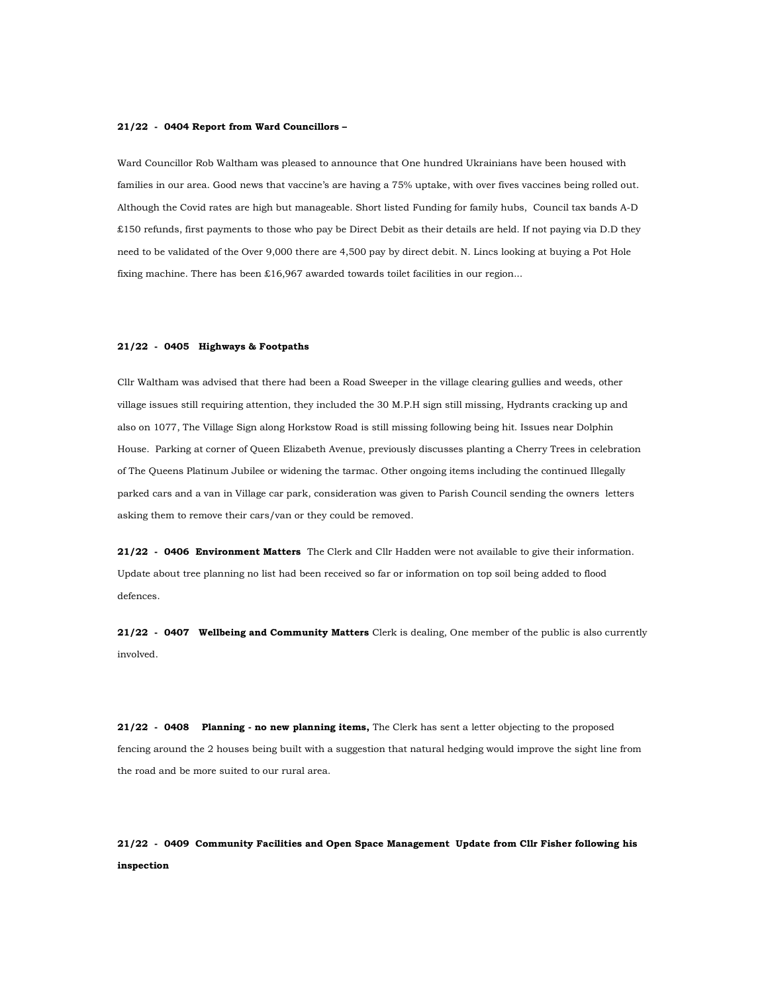#### 21/22 - 0404 Report from Ward Councillors –

Ward Councillor Rob Waltham was pleased to announce that One hundred Ukrainians have been housed with families in our area. Good news that vaccine's are having a 75% uptake, with over fives vaccines being rolled out. Although the Covid rates are high but manageable. Short listed Funding for family hubs, Council tax bands A-D £150 refunds, first payments to those who pay be Direct Debit as their details are held. If not paying via D.D they need to be validated of the Over 9,000 there are 4,500 pay by direct debit. N. Lincs looking at buying a Pot Hole fixing machine. There has been £16,967 awarded towards toilet facilities in our region...

### 21/22 - 0405 Highways & Footpaths

Cllr Waltham was advised that there had been a Road Sweeper in the village clearing gullies and weeds, other village issues still requiring attention, they included the 30 M.P.H sign still missing, Hydrants cracking up and also on 1077, The Village Sign along Horkstow Road is still missing following being hit. Issues near Dolphin House. Parking at corner of Queen Elizabeth Avenue, previously discusses planting a Cherry Trees in celebration of The Queens Platinum Jubilee or widening the tarmac. Other ongoing items including the continued Illegally parked cars and a van in Village car park, consideration was given to Parish Council sending the owners letters asking them to remove their cars/van or they could be removed.

21/22 - 0406 Environment Matters The Clerk and Cllr Hadden were not available to give their information. Update about tree planning no list had been received so far or information on top soil being added to flood defences.

21/22 - 0407 Wellbeing and Community Matters Clerk is dealing, One member of the public is also currently involved.

21/22 - 0408 Planning - no new planning items, The Clerk has sent a letter objecting to the proposed fencing around the 2 houses being built with a suggestion that natural hedging would improve the sight line from the road and be more suited to our rural area.

# 21/22 - 0409 Community Facilities and Open Space Management Update from Cllr Fisher following his inspection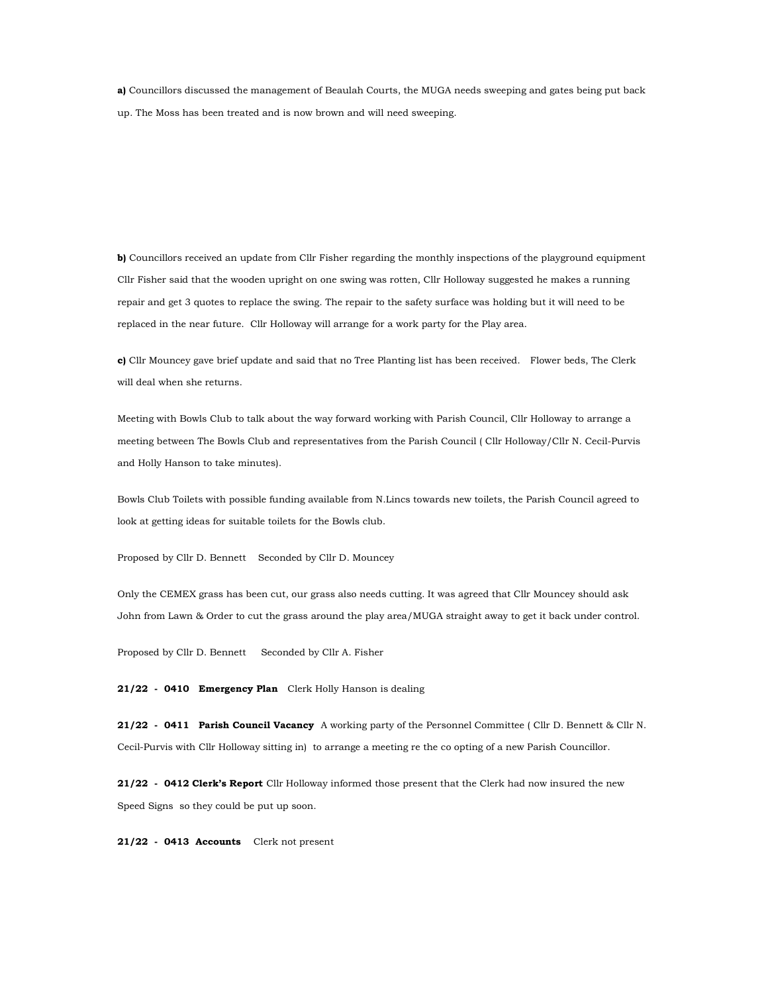a) Councillors discussed the management of Beaulah Courts, the MUGA needs sweeping and gates being put back up. The Moss has been treated and is now brown and will need sweeping.

b) Councillors received an update from Cllr Fisher regarding the monthly inspections of the playground equipment Cllr Fisher said that the wooden upright on one swing was rotten, Cllr Holloway suggested he makes a running repair and get 3 quotes to replace the swing. The repair to the safety surface was holding but it will need to be replaced in the near future. Cllr Holloway will arrange for a work party for the Play area.

c) Cllr Mouncey gave brief update and said that no Tree Planting list has been received. Flower beds, The Clerk will deal when she returns.

Meeting with Bowls Club to talk about the way forward working with Parish Council, Cllr Holloway to arrange a meeting between The Bowls Club and representatives from the Parish Council ( Cllr Holloway/Cllr N. Cecil-Purvis and Holly Hanson to take minutes).

Bowls Club Toilets with possible funding available from N.Lincs towards new toilets, the Parish Council agreed to look at getting ideas for suitable toilets for the Bowls club.

Proposed by Cllr D. Bennett Seconded by Cllr D. Mouncey

Only the CEMEX grass has been cut, our grass also needs cutting. It was agreed that Cllr Mouncey should ask John from Lawn & Order to cut the grass around the play area/MUGA straight away to get it back under control.

Proposed by Cllr D. Bennett Seconded by Cllr A. Fisher

21/22 - 0410 Emergency Plan Clerk Holly Hanson is dealing

21/22 - 0411 Parish Council Vacancy A working party of the Personnel Committee ( Cllr D. Bennett & Cllr N. Cecil-Purvis with Cllr Holloway sitting in) to arrange a meeting re the co opting of a new Parish Councillor.

21/22 - 0412 Clerk's Report Cllr Holloway informed those present that the Clerk had now insured the new Speed Signs so they could be put up soon.

21/22 - 0413 Accounts Clerk not present